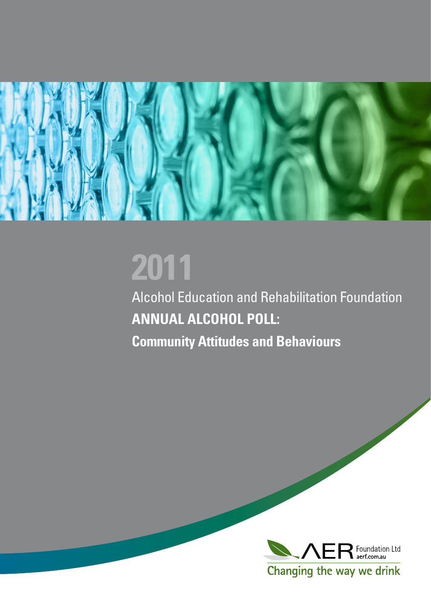

# **2011**

Alcohol Education and Rehabilitation Foundation **Annual Alcohol Poll: Community Attitudes and Behaviours** 

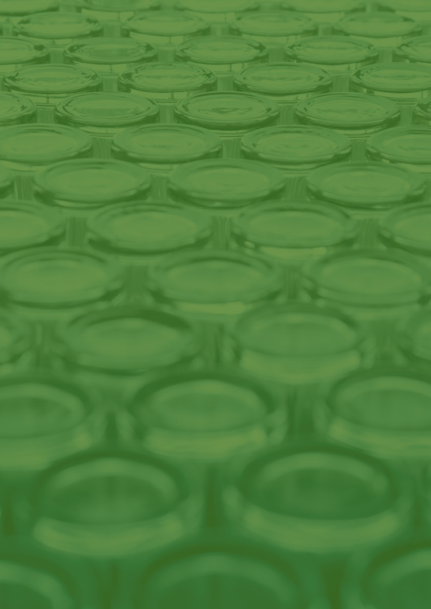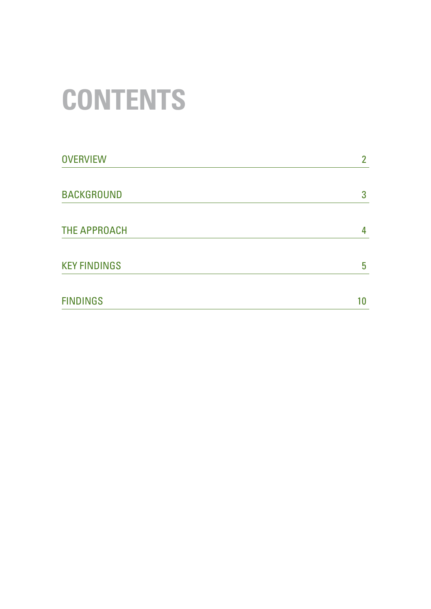# **CONTENTS**

| <b>OVERVIEW</b>     | $\overline{2}$ |
|---------------------|----------------|
| <b>BACKGROUND</b>   | 3              |
| <b>THE APPROACH</b> | 4              |
| <b>KEY FINDINGS</b> | 5              |
| <b>FINDINGS</b>     | 10             |
|                     |                |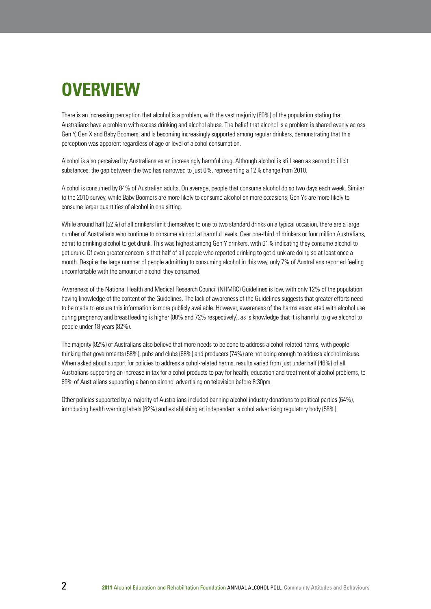# **Overview**

There is an increasing perception that alcohol is a problem, with the vast majority (80%) of the population stating that Australians have a problem with excess drinking and alcohol abuse. The belief that alcohol is a problem is shared evenly across Gen Y, Gen X and Baby Boomers, and is becoming increasingly supported among regular drinkers, demonstrating that this perception was apparent regardless of age or level of alcohol consumption.

Alcohol is also perceived by Australians as an increasingly harmful drug. Although alcohol is still seen as second to illicit substances, the gap between the two has narrowed to just 6%, representing a 12% change from 2010.

Alcohol is consumed by 84% of Australian adults. On average, people that consume alcohol do so two days each week. Similar to the 2010 survey, while Baby Boomers are more likely to consume alcohol on more occasions, Gen Ys are more likely to consume larger quantities of alcohol in one sitting.

While around half (52%) of all drinkers limit themselves to one to two standard drinks on a typical occasion, there are a large number of Australians who continue to consume alcohol at harmful levels. Over one-third of drinkers or four million Australians, admit to drinking alcohol to get drunk. This was highest among Gen Y drinkers, with 61% indicating they consume alcohol to get drunk. Of even greater concern is that half of all people who reported drinking to get drunk are doing so at least once a month. Despite the large number of people admitting to consuming alcohol in this way, only 7% of Australians reported feeling uncomfortable with the amount of alcohol they consumed.

Awareness of the National Health and Medical Research Council (NHMRC) Guidelines is low, with only 12% of the population having knowledge of the content of the Guidelines. The lack of awareness of the Guidelines suggests that greater efforts need to be made to ensure this information is more publicly available. However, awareness of the harms associated with alcohol use during pregnancy and breastfeeding is higher (80% and 72% respectively), as is knowledge that it is harmful to give alcohol to people under 18 years (82%).

The majority (82%) of Australians also believe that more needs to be done to address alcohol-related harms, with people thinking that governments (58%), pubs and clubs (68%) and producers (74%) are not doing enough to address alcohol misuse. When asked about support for policies to address alcohol-related harms, results varied from just under half (46%) of all Australians supporting an increase in tax for alcohol products to pay for health, education and treatment of alcohol problems, to 69% of Australians supporting a ban on alcohol advertising on television before 8:30pm.

Other policies supported by a majority of Australians included banning alcohol industry donations to political parties (64%), introducing health warning labels (62%) and establishing an independent alcohol advertising regulatory body (58%).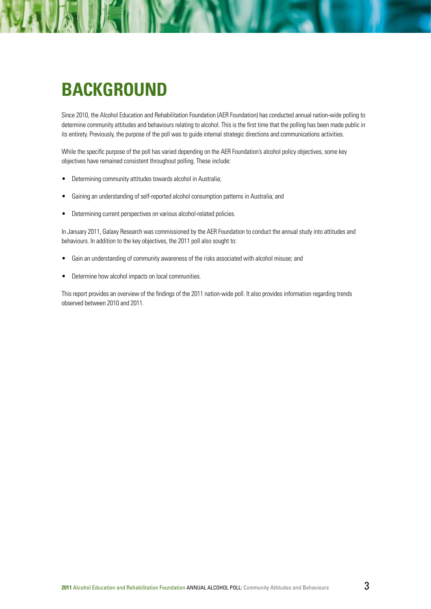# **BACKGROUND**

Since 2010, the Alcohol Education and Rehabilitation Foundation (AER Foundation) has conducted annual nation-wide polling to determine community attitudes and behaviours relating to alcohol. This is the first time that the polling has been made public in its entirety. Previously, the purpose of the poll was to guide internal strategic directions and communications activities.

While the specific purpose of the poll has varied depending on the AER Foundation's alcohol policy objectives, some key objectives have remained consistent throughout polling. These include:

- Determining community attitudes towards alcohol in Australia;
- Gaining an understanding of self-reported alcohol consumption patterns in Australia; and
- Determining current perspectives on various alcohol-related policies.

In January 2011, Galaxy Research was commissioned by the AER Foundation to conduct the annual study into attitudes and behaviours. In addition to the key objectives, the 2011 poll also sought to:

- Gain an understanding of community awareness of the risks associated with alcohol misuse; and
- Determine how alcohol impacts on local communities.

This report provides an overview of the findings of the 2011 nation-wide poll. It also provides information regarding trends observed between 2010 and 2011.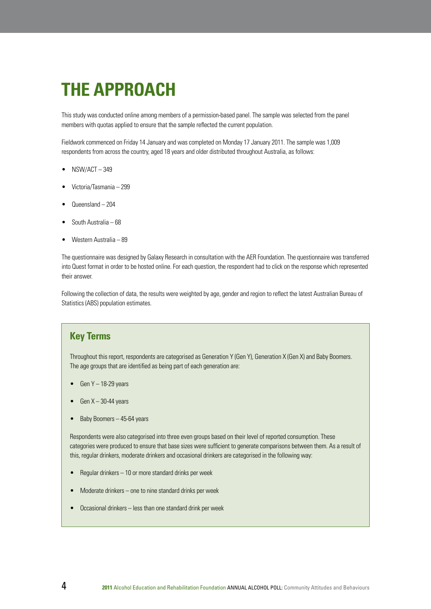# **The Approach**

This study was conducted online among members of a permission-based panel. The sample was selected from the panel members with quotas applied to ensure that the sample reflected the current population.

Fieldwork commenced on Friday 14 January and was completed on Monday 17 January 2011. The sample was 1,009 respondents from across the country, aged 18 years and older distributed throughout Australia, as follows:

- NSW/ACT 349
- Victoria/Tasmania 299
- Queensland 204
- South Australia 68
- Western Australia 89

The questionnaire was designed by Galaxy Research in consultation with the AER Foundation. The questionnaire was transferred into Quest format in order to be hosted online. For each question, the respondent had to click on the response which represented their answer.

Following the collection of data, the results were weighted by age, gender and region to reflect the latest Australian Bureau of Statistics (ABS) population estimates.

### **Key Terms**

Throughout this report, respondents are categorised as Generation Y (Gen Y), Generation X (Gen X) and Baby Boomers. The age groups that are identified as being part of each generation are:

- $\bullet$  Gen Y 18-29 years
- Gen  $X 30-44$  years
- Baby Boomers 45-64 years

Respondents were also categorised into three even groups based on their level of reported consumption. These categories were produced to ensure that base sizes were sufficient to generate comparisons between them. As a result of this, regular drinkers, moderate drinkers and occasional drinkers are categorised in the following way:

- Regular drinkers 10 or more standard drinks per week
- Moderate drinkers one to nine standard drinks per week
- Occasional drinkers less than one standard drink per week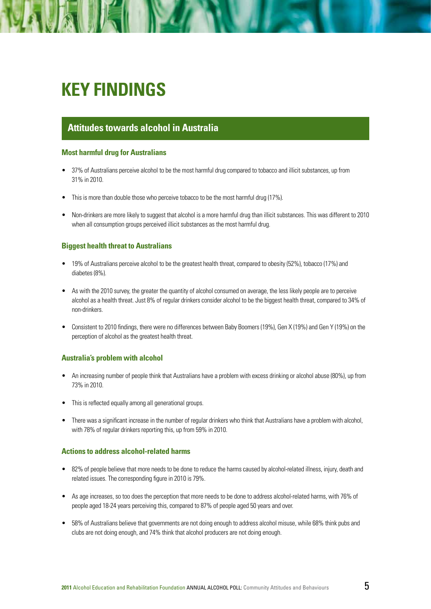# **Key Findings**

### **Attitudes towards alcohol in Australia**

### **Most harmful drug for Australians**

- 37% of Australians perceive alcohol to be the most harmful drug compared to tobacco and illicit substances, up from 31% in 2010.
- This is more than double those who perceive tobacco to be the most harmful drug (17%).
- Non-drinkers are more likely to suggest that alcohol is a more harmful drug than illicit substances. This was different to 2010 when all consumption groups perceived illicit substances as the most harmful drug.

### **Biggest health threat to Australians**

- 19% of Australians perceive alcohol to be the greatest health threat, compared to obesity (52%), tobacco (17%) and diabetes (8%).
- As with the 2010 survey, the greater the quantity of alcohol consumed on average, the less likely people are to perceive alcohol as a health threat. Just 8% of regular drinkers consider alcohol to be the biggest health threat, compared to 34% of non-drinkers.
- Consistent to 2010 findings, there were no differences between Baby Boomers (19%), Gen X (19%) and Gen Y (19%) on the perception of alcohol as the greatest health threat.

### **Australia's problem with alcohol**

- An increasing number of people think that Australians have a problem with excess drinking or alcohol abuse (80%), up from 73% in 2010.
- This is reflected equally among all generational groups.
- There was a significant increase in the number of regular drinkers who think that Australians have a problem with alcohol, with 78% of regular drinkers reporting this, up from 59% in 2010.

### **Actions to address alcohol-related harms**

- 82% of people believe that more needs to be done to reduce the harms caused by alcohol-related illness, injury, death and related issues. The corresponding figure in 2010 is 79%.
- As age increases, so too does the perception that more needs to be done to address alcohol-related harms, with 76% of people aged 18-24 years perceiving this, compared to 87% of people aged 50 years and over.
- 58% of Australians believe that governments are not doing enough to address alcohol misuse, while 68% think pubs and clubs are not doing enough, and 74% think that alcohol producers are not doing enough.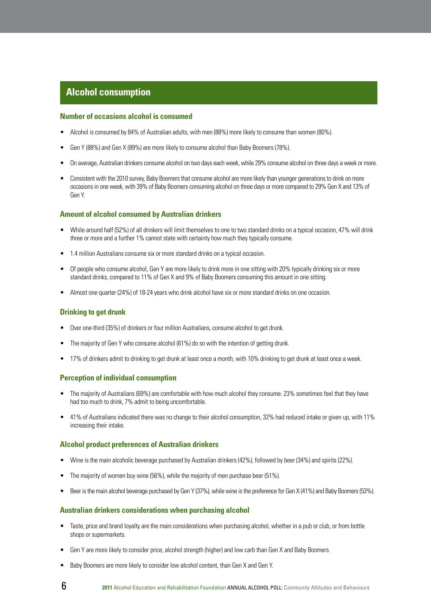# **Alcohol consumption**

#### **Number of occasions alcohol is consumed**

- Alcohol is consumed by 84% of Australian adults, with men (88%) more likely to consume than women (80%).
- Gen Y (88%) and Gen X (89%) are more likely to consume alcohol than Baby Boomers (78%).
- On average, Australian drinkers consume alcohol on two days each week, while 29% consume alcohol on three days a week or more.
- Consistent with the 2010 survey, Baby Boomers that consume alcohol are more likely than younger generations to drink on more occasions in one week, with 39% of Baby Boomers consuming alcohol on three days or more compared to 29% Gen X and 13% of Gen Y.

### **Amount of alcohol consumed by Australian drinkers**

- While around half (52%) of all drinkers will limit themselves to one to two standard drinks on a typical occasion, 47% will drink three or more and a further 1% cannot state with certainty how much they typically consume.
- 1.4 million Australians consume six or more standard drinks on a typical occasion.
- Of people who consume alcohol, Gen Y are more likely to drink more in one sitting with 20% typically drinking six or more standard drinks, compared to 11% of Gen X and 9% of Baby Boomers consuming this amount in one sitting.
- Almost one quarter (24%) of 18-24 years who drink alcohol have six or more standard drinks on one occasion.

### **Drinking to get drunk**

- Over one-third (35%) of drinkers or four million Australians, consume alcohol to get drunk.
- The majority of Gen Y who consume alcohol (61%) do so with the intention of getting drunk.
- 17% of drinkers admit to drinking to get drunk at least once a month, with 10% drinking to get drunk at least once a week.

### **Perception of individual consumption**

- The majority of Australians (69%) are comfortable with how much alcohol they consume. 23% sometimes feel that they have had too much to drink, 7% admit to being uncomfortable.
- 41% of Australians indicated there was no change to their alcohol consumption, 32% had reduced intake or given up, with 11% increasing their intake.

### **Alcohol product preferences of Australian drinkers**

- Wine is the main alcoholic beverage purchased by Australian drinkers (42%), followed by beer (34%) and spirits (22%).
- The majority of women buy wine (56%), while the majority of men purchase beer (51%).
- Beer is the main alcohol beverage purchased by Gen Y (37%), while wine is the preference for Gen X (41%) and Baby Boomers (53%).

### **Australian drinkers considerations when purchasing alcohol**

- Taste, price and brand loyalty are the main considerations when purchasing alcohol, whether in a pub or club, or from bottle shops or supermarkets.
- Gen Y are more likely to consider price, alcohol strength (higher) and low carb than Gen X and Baby Boomers.
- Baby Boomers are more likely to consider low alcohol content, than Gen X and Gen Y.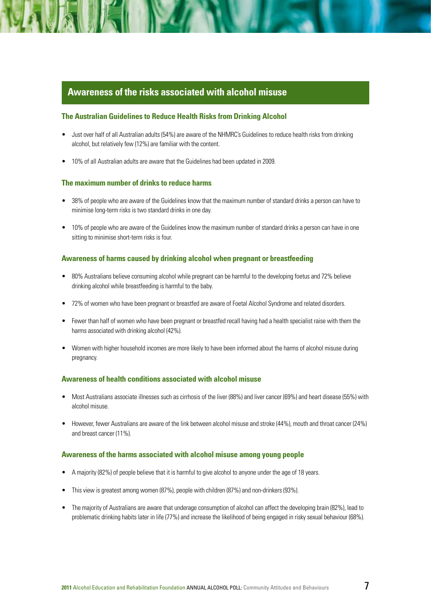### **Awareness of the risks associated with alcohol misuse**

### **The Australian Guidelines to Reduce Health Risks from Drinking Alcohol**

- Just over half of all Australian adults (54%) are aware of the NHMRC's Guidelines to reduce health risks from drinking alcohol, but relatively few (12%) are familiar with the content.
- 10% of all Australian adults are aware that the Guidelines had been updated in 2009.

### **The maximum number of drinks to reduce harms**

- 38% of people who are aware of the Guidelines know that the maximum number of standard drinks a person can have to minimise long-term risks is two standard drinks in one day.
- 10% of people who are aware of the Guidelines know the maximum number of standard drinks a person can have in one sitting to minimise short-term risks is four.

### **Awareness of harms caused by drinking alcohol when pregnant or breastfeeding**

- 80% Australians believe consuming alcohol while pregnant can be harmful to the developing foetus and 72% believe drinking alcohol while breastfeeding is harmful to the baby.
- 72% of women who have been pregnant or breastfed are aware of Foetal Alcohol Syndrome and related disorders.
- Fewer than half of women who have been pregnant or breastfed recall having had a health specialist raise with them the harms associated with drinking alcohol (42%).
- Women with higher household incomes are more likely to have been informed about the harms of alcohol misuse during pregnancy.

### **Awareness of health conditions associated with alcohol misuse**

- Most Australians associate illnesses such as cirrhosis of the liver (88%) and liver cancer (69%) and heart disease (55%) with alcohol misuse.
- However, fewer Australians are aware of the link between alcohol misuse and stroke (44%), mouth and throat cancer (24%) and breast cancer (11%).

#### **Awareness of the harms associated with alcohol misuse among young people**

- A majority (82%) of people believe that it is harmful to give alcohol to anyone under the age of 18 years.
- This view is greatest among women (87%), people with children (87%) and non-drinkers (93%).
- The majority of Australians are aware that underage consumption of alcohol can affect the developing brain (82%), lead to problematic drinking habits later in life (77%) and increase the likelihood of being engaged in risky sexual behaviour (68%).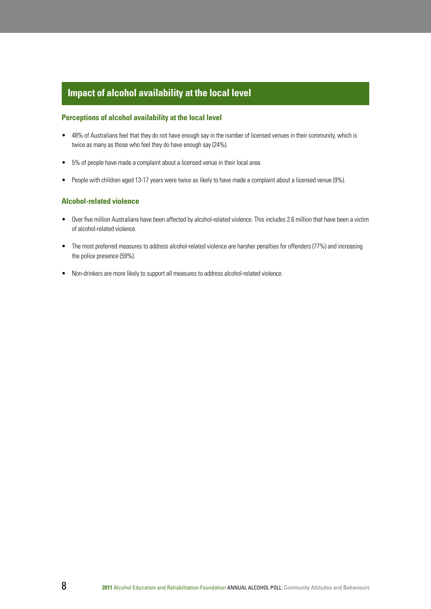# **Impact of alcohol availability at the local level**

### **Perceptions of alcohol availability at the local level**

- 48% of Australians feel that they do not have enough say in the number of licensed venues in their community, which is twice as many as those who feel they do have enough say (24%).
- 5% of people have made a complaint about a licensed venue in their local area.
- People with children aged 13-17 years were twice as likely to have made a complaint about a licensed venue (9%).

### **Alcohol-related violence**

- Over five million Australians have been affected by alcohol-related violence. This includes 2.6 million that have been a victim of alcohol-related violence.
- The most preferred measures to address alcohol-related violence are harsher penalties for offenders (77%) and increasing the police presence (59%).
- Non-drinkers are more likely to support all measures to address alcohol-related violence.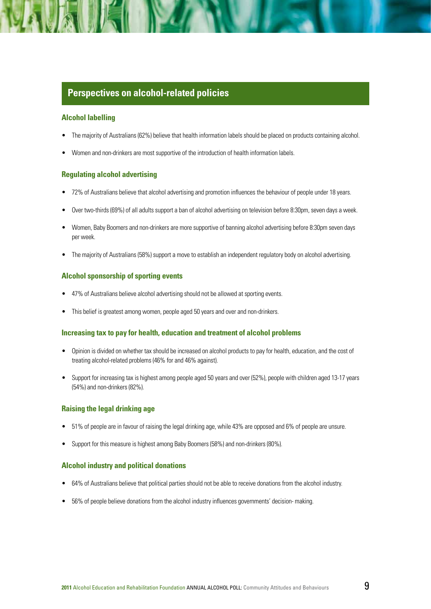# **Perspectives on alcohol-related policies**

### **Alcohol labelling**

- The majority of Australians (62%) believe that health information labels should be placed on products containing alcohol.
- Women and non-drinkers are most supportive of the introduction of health information labels.

### **Regulating alcohol advertising**

- 72% of Australians believe that alcohol advertising and promotion influences the behaviour of people under 18 years.
- Over two-thirds (69%) of all adults support a ban of alcohol advertising on television before 8:30pm, seven days a week.
- Women, Baby Boomers and non-drinkers are more supportive of banning alcohol advertising before 8:30pm seven days per week.
- The majority of Australians (58%) support a move to establish an independent regulatory body on alcohol advertising.

### **Alcohol sponsorship of sporting events**

- 47% of Australians believe alcohol advertising should not be allowed at sporting events.
- This belief is greatest among women, people aged 50 years and over and non-drinkers.

### **Increasing tax to pay for health, education and treatment of alcohol problems**

- Opinion is divided on whether tax should be increased on alcohol products to pay for health, education, and the cost of treating alcohol-related problems (46% for and 46% against).
- Support for increasing tax is highest among people aged 50 years and over (52%), people with children aged 13-17 years (54%) and non-drinkers (82%).

### **Raising the legal drinking age**

- 51% of people are in favour of raising the legal drinking age, while 43% are opposed and 6% of people are unsure.
- Support for this measure is highest among Baby Boomers (58%) and non-drinkers (80%).

### **Alcohol industry and political donations**

- 64% of Australians believe that political parties should not be able to receive donations from the alcohol industry.
- 56% of people believe donations from the alcohol industry influences governments' decision- making.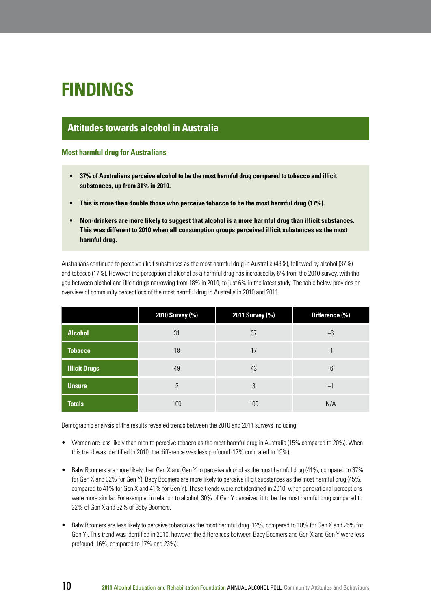# **Findings**

## **Attitudes towards alcohol in Australia**

### **Most harmful drug for Australians**

- **• 37% of Australians perceive alcohol to be the most harmful drug compared to tobacco and illicit substances, up from 31% in 2010.**
- **This is more than double those who perceive tobacco to be the most harmful drug (17%).**
- **Non-drinkers are more likely to suggest that alcohol is a more harmful drug than illicit substances. This was different to 2010 when all consumption groups perceived illicit substances as the most harmful drug.**

Australians continued to perceive illicit substances as the most harmful drug in Australia (43%), followed by alcohol (37%) and tobacco (17%). However the perception of alcohol as a harmful drug has increased by 6% from the 2010 survey, with the gap between alcohol and illicit drugs narrowing from 18% in 2010, to just 6% in the latest study. The table below provides an overview of community perceptions of the most harmful drug in Australia in 2010 and 2011.

|                      | 2010 Survey (%) | 2011 Survey $(\%)$ | Difference (%) |
|----------------------|-----------------|--------------------|----------------|
| <b>Alcohol</b>       | 31              | 37                 | $+6$           |
| <b>Tobacco</b>       | 18              | 17                 | $-1$           |
| <b>Illicit Drugs</b> | 49              | 43                 | -6             |
| <b>Unsure</b>        | $\mathcal{P}$   | 3                  | $+1$           |
| <b>Totals</b>        | 100             | 100                | N/A            |

Demographic analysis of the results revealed trends between the 2010 and 2011 surveys including:

- Women are less likely than men to perceive tobacco as the most harmful drug in Australia (15% compared to 20%). When this trend was identified in 2010, the difference was less profound (17% compared to 19%).
- Baby Boomers are more likely than Gen X and Gen Y to perceive alcohol as the most harmful drug (41%, compared to 37% for Gen X and 32% for Gen Y). Baby Boomers are more likely to perceive illicit substances as the most harmful drug (45%, compared to 41% for Gen X and 41% for Gen Y). These trends were not identified in 2010, when generational perceptions were more similar. For example, in relation to alcohol, 30% of Gen Y perceived it to be the most harmful drug compared to 32% of Gen X and 32% of Baby Boomers.
- Baby Boomers are less likely to perceive tobacco as the most harmful drug (12%, compared to 18% for Gen X and 25% for Gen Y). This trend was identified in 2010, however the differences between Baby Boomers and Gen X and Gen Y were less profound (16%, compared to 17% and 23%).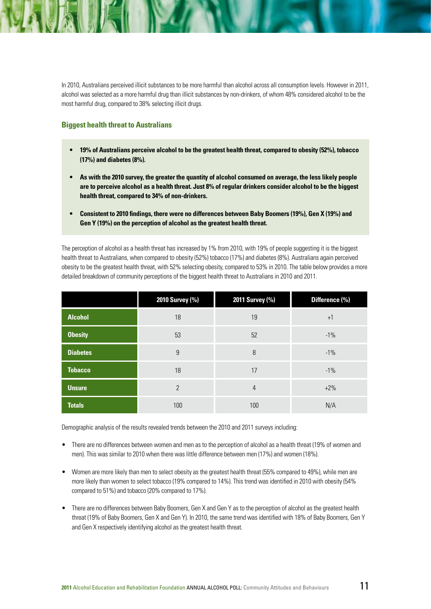In 2010, Australians perceived illicit substances to be more harmful than alcohol across all consumption levels. However in 2011, alcohol was selected as a more harmful drug than illicit substances by non-drinkers, of whom 48% considered alcohol to be the most harmful drug, compared to 38% selecting illicit drugs.

### **Biggest health threat to Australians**

- **• 19% of Australians perceive alcohol to be the greatest health threat, compared to obesity (52%), tobacco (17%) and diabetes (8%).**
- **• As with the 2010 survey, the greater the quantity of alcohol consumed on average, the less likely people are to perceive alcohol as a health threat. Just 8% of regular drinkers consider alcohol to be the biggest health threat, compared to 34% of non-drinkers.**
- **Consistent to 2010 findings, there were no differences between Baby Boomers (19%), Gen X (19%) and Gen Y (19%) on the perception of alcohol as the greatest health threat.**

The perception of alcohol as a health threat has increased by 1% from 2010, with 19% of people suggesting it is the biggest health threat to Australians, when compared to obesity (52%) tobacco (17%) and diabetes (8%). Australians again perceived obesity to be the greatest health threat, with 52% selecting obesity, compared to 53% in 2010. The table below provides a more detailed breakdown of community perceptions of the biggest health threat to Australians in 2010 and 2011.

|                 | 2010 Survey (%) | 2011 Survey (%) | Difference (%) |
|-----------------|-----------------|-----------------|----------------|
| <b>Alcohol</b>  | 18              | 19              | $+1$           |
| <b>Obesity</b>  | 53              | 52              | $-1\%$         |
| <b>Diabetes</b> | 9               | 8               | $-1\%$         |
| <b>Tobacco</b>  | 18              | 17              | $-1\%$         |
| <b>Unsure</b>   | $\overline{2}$  | 4               | $+2%$          |
| <b>Totals</b>   | 100             | 100             | N/A            |

Demographic analysis of the results revealed trends between the 2010 and 2011 surveys including:

- There are no differences between women and men as to the perception of alcohol as a health threat (19% of women and men). This was similar to 2010 when there was little difference between men (17%) and women (18%).
- Women are more likely than men to select obesity as the greatest health threat (55% compared to 49%), while men are more likely than women to select tobacco (19% compared to 14%). This trend was identified in 2010 with obesity (54% compared to 51%) and tobacco (20% compared to 17%).
- There are no differences between Baby Boomers, Gen X and Gen Y as to the perception of alcohol as the greatest health threat (19% of Baby Boomers, Gen X and Gen Y). In 2010, the same trend was identified with 18% of Baby Boomers, Gen Y and Gen X respectively identifying alcohol as the greatest health threat.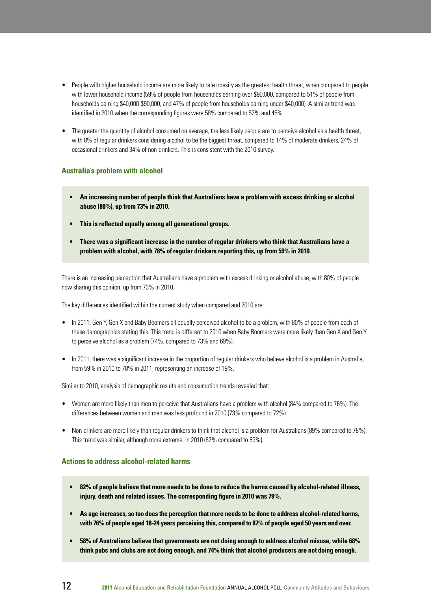- People with higher household income are more likely to rate obesity as the greatest health threat, when compared to people with lower household income (59% of people from households earning over \$90,000, compared to 51% of people from households earning \$40,000-\$90,000, and 47% of people from households earning under \$40,000). A similar trend was identified in 2010 when the corresponding figures were 58% compared to 52% and 45%.
- The greater the quantity of alcohol consumed on average, the less likely people are to perceive alcohol as a health threat, with 8% of regular drinkers considering alcohol to be the biggest threat, compared to 14% of moderate drinkers, 24% of occasional drinkers and 34% of non-drinkers. This is consistent with the 2010 survey.

### **Australia's problem with alcohol**

- **• An increasing number of people think that Australians have a problem with excess drinking or alcohol abuse (80%), up from 73% in 2010.**
- **This is reflected equally among all generational groups.**
- **There was a significant increase in the number of regular drinkers who think that Australians have a problem with alcohol, with 78% of regular drinkers reporting this, up from 59% in 2010.**

There is an increasing perception that Australians have a problem with excess drinking or alcohol abuse, with 80% of people now sharing this opinion, up from 73% in 2010.

The key differences identified within the current study when compared and 2010 are:

- In 2011, Gen Y, Gen X and Baby Boomers all equally perceived alcohol to be a problem, with 80% of people from each of these demographics stating this. This trend is different to 2010 when Baby Boomers were more likely than Gen X and Gen Y to perceive alcohol as a problem (74%, compared to 73% and 69%).
- In 2011, there was a significant increase in the proportion of regular drinkers who believe alcohol is a problem in Australia, from 59% in 2010 to 78% in 2011, representing an increase of 19%.

Similar to 2010, analysis of demographic results and consumption trends revealed that:

- Women are more likely than men to perceive that Australians have a problem with alcohol (84% compared to 76%). The differences between women and men was less profound in 2010 (73% compared to 72%).
- Non-drinkers are more likely than regular drinkers to think that alcohol is a problem for Australians (89% compared to 78%). This trend was similar, although more extreme, in 2010 (82% compared to 59%).

### **Actions to address alcohol-related harms**

- **• 82% of people believe that more needs to be done to reduce the harms caused by alcohol-related illness, injury, death and related issues. The corresponding figure in 2010 was 79%.**
- **• As age increases, so too does the perception that more needs to be done to address alcohol-related harms, with 76% of people aged 18-24 years perceiving this, compared to 87% of people aged 50 years and over.**
- **• 58% of Australians believe that governments are not doing enough to address alcohol misuse, while 68% think pubs and clubs are not doing enough, and 74% think that alcohol producers are not doing enough.**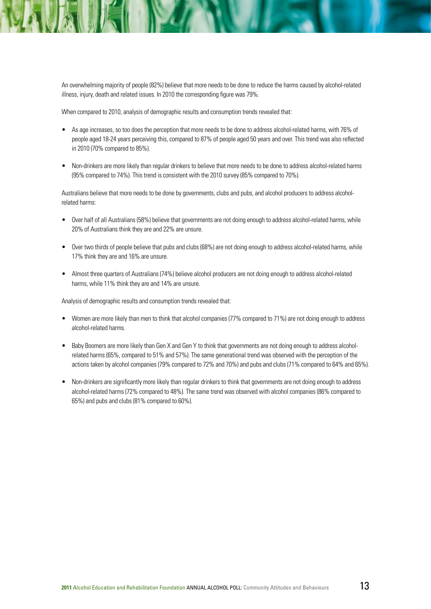An overwhelming majority of people (82%) believe that more needs to be done to reduce the harms caused by alcohol-related illness, injury, death and related issues. In 2010 the corresponding figure was 79%.

When compared to 2010, analysis of demographic results and consumption trends revealed that:

- As age increases, so too does the perception that more needs to be done to address alcohol-related harms, with 76% of people aged 18-24 years perceiving this, compared to 87% of people aged 50 years and over. This trend was also reflected in 2010 (70% compared to 85%).
- Non-drinkers are more likely than regular drinkers to believe that more needs to be done to address alcohol-related harms (95% compared to 74%). This trend is consistent with the 2010 survey (85% compared to 70%).

Australians believe that more needs to be done by governments, clubs and pubs, and alcohol producers to address alcoholrelated harms:

- Over half of all Australians (58%) believe that governments are not doing enough to address alcohol-related harms, while 20% of Australians think they are and 22% are unsure.
- Over two thirds of people believe that pubs and clubs (68%) are not doing enough to address alcohol-related harms, while 17% think they are and 16% are unsure.
- Almost three quarters of Australians (74%) believe alcohol producers are not doing enough to address alcohol-related harms, while 11% think they are and 14% are unsure.

Analysis of demographic results and consumption trends revealed that:

- Women are more likely than men to think that alcohol companies (77% compared to 71%) are not doing enough to address alcohol-related harms.
- Baby Boomers are more likely than Gen X and Gen Y to think that governments are not doing enough to address alcoholrelated harms (65%, compared to 51% and 57%). The same generational trend was observed with the perception of the actions taken by alcohol companies (79% compared to 72% and 70%) and pubs and clubs (71% compared to 64% and 65%).
- Non-drinkers are significantly more likely than regular drinkers to think that governments are not doing enough to address alcohol-related harms (72% compared to 48%). The same trend was observed with alcohol companies (86% compared to 65%) and pubs and clubs (81% compared to 60%).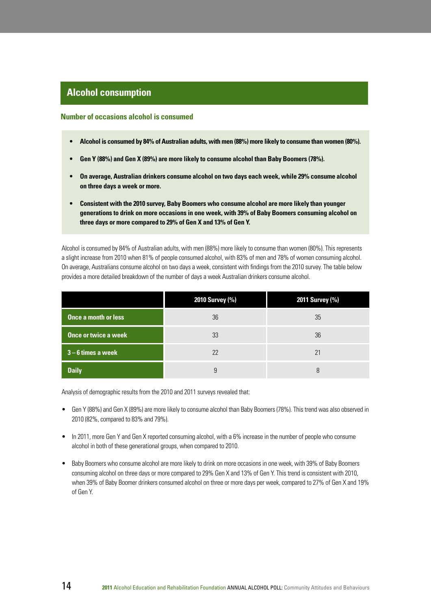## **Alcohol consumption**

### **Number of occasions alcohol is consumed**

- **• Alcohol is consumed by 84% of Australian adults, with men (88%) more likely to consume than women (80%).**
- **Gen Y (88%) and Gen X (89%) are more likely to consume alcohol than Baby Boomers (78%).**
- **On average, Australian drinkers consume alcohol on two days each week, while 29% consume alcohol on three days a week or more.**
- **Consistent with the 2010 survey, Baby Boomers who consume alcohol are more likely than younger generations to drink on more occasions in one week, with 39% of Baby Boomers consuming alcohol on three days or more compared to 29% of Gen X and 13% of Gen Y.**

Alcohol is consumed by 84% of Australian adults, with men (88%) more likely to consume than women (80%). This represents a slight increase from 2010 when 81% of people consumed alcohol, with 83% of men and 78% of women consuming alcohol. On average, Australians consume alcohol on two days a week, consistent with findings from the 2010 survey. The table below provides a more detailed breakdown of the number of days a week Australian drinkers consume alcohol.

|                      | 2010 Survey (%) | 2011 Survey (%) |
|----------------------|-----------------|-----------------|
| Once a month or less | 36              | 35              |
| Once or twice a week | 33              | 36              |
| $3 - 6$ times a week | 22              | 21              |
| <b>Daily</b>         |                 | 8               |

Analysis of demographic results from the 2010 and 2011 surveys revealed that:

- Gen Y (88%) and Gen X (89%) are more likely to consume alcohol than Baby Boomers (78%). This trend was also observed in 2010 (82%, compared to 83% and 79%).
- In 2011, more Gen Y and Gen X reported consuming alcohol, with a 6% increase in the number of people who consume alcohol in both of these generational groups, when compared to 2010.
- Baby Boomers who consume alcohol are more likely to drink on more occasions in one week, with 39% of Baby Boomers consuming alcohol on three days or more compared to 29% Gen X and 13% of Gen Y. This trend is consistent with 2010, when 39% of Baby Boomer drinkers consumed alcohol on three or more days per week, compared to 27% of Gen X and 19% of Gen Y.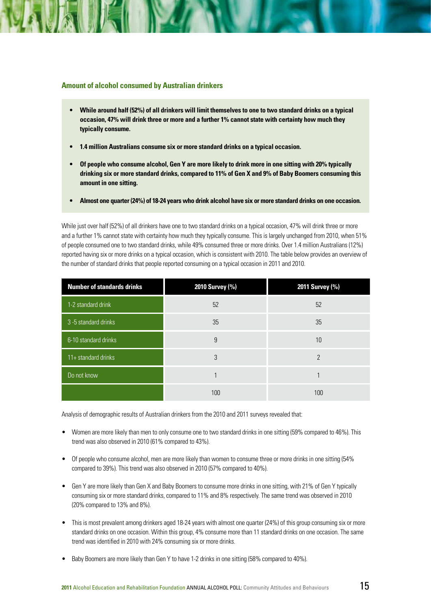### **Amount of alcohol consumed by Australian drinkers**

- **While around half (52%) of all drinkers will limit themselves to one to two standard drinks on a typical occasion, 47% will drink three or more and a further 1% cannot state with certainty how much they typically consume.**
- **• 1.4 million Australians consume six or more standard drinks on a typical occasion.**
- **Of people who consume alcohol, Gen Y are more likely to drink more in one sitting with 20% typically drinking six or more standard drinks, compared to 11% of Gen X and 9% of Baby Boomers consuming this amount in one sitting.**
- **• Almost one quarter (24%) of 18-24 years who drink alcohol have six or more standard drinks on one occasion.**

While just over half (52%) of all drinkers have one to two standard drinks on a typical occasion, 47% will drink three or more and a further 1% cannot state with certainty how much they typically consume. This is largely unchanged from 2010, when 51% of people consumed one to two standard drinks, while 49% consumed three or more drinks. Over 1.4 million Australians (12%) reported having six or more drinks on a typical occasion, which is consistent with 2010. The table below provides an overview of the number of standard drinks that people reported consuming on a typical occasion in 2011 and 2010.

| <b>Number of standards drinks</b> | 2010 Survey (%) | 2011 Survey (%) |
|-----------------------------------|-----------------|-----------------|
| 1-2 standard drink                | 52              | 52              |
| 3-5 standard drinks               | 35              | 35              |
| 6-10 standard drinks              | 9               | 10              |
| 11+ standard drinks               | 3               | 2               |
| Do not know                       |                 |                 |
|                                   | 100             | 100             |

Analysis of demographic results of Australian drinkers from the 2010 and 2011 surveys revealed that:

- Women are more likely than men to only consume one to two standard drinks in one sitting (59% compared to 46%). This trend was also observed in 2010 (61% compared to 43%).
- Of people who consume alcohol, men are more likely than women to consume three or more drinks in one sitting (54% compared to 39%). This trend was also observed in 2010 (57% compared to 40%).
- Gen Y are more likely than Gen X and Baby Boomers to consume more drinks in one sitting, with 21% of Gen Y typically consuming six or more standard drinks, compared to 11% and 8% respectively. The same trend was observed in 2010 (20% compared to 13% and 8%).
- This is most prevalent among drinkers aged 18-24 years with almost one quarter (24%) of this group consuming six or more standard drinks on one occasion. Within this group, 4% consume more than 11 standard drinks on one occasion. The same trend was identified in 2010 with 24% consuming six or more drinks.
- Baby Boomers are more likely than Gen Y to have 1-2 drinks in one sitting (58% compared to 40%).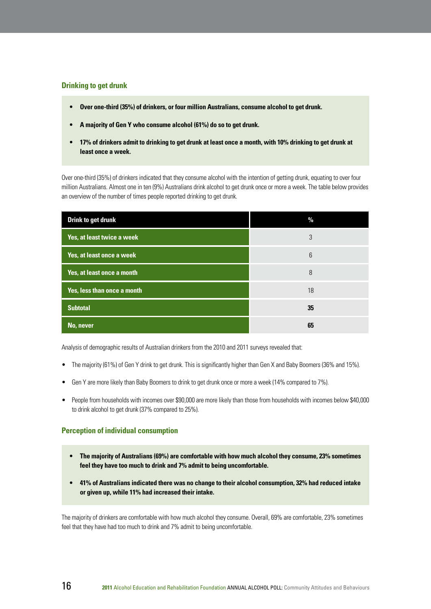### **Drinking to get drunk**

- **Over one-third (35%) of drinkers, or four million Australians, consume alcohol to get drunk.**
- **• A majority of Gen Y who consume alcohol (61%) do so to get drunk.**
- **• 17% of drinkers admit to drinking to get drunk at least once a month, with 10% drinking to get drunk at least once a week.**

Over one-third (35%) of drinkers indicated that they consume alcohol with the intention of getting drunk, equating to over four million Australians. Almost one in ten (9%) Australians drink alcohol to get drunk once or more a week. The table below provides an overview of the number of times people reported drinking to get drunk.

| <b>Drink to get drunk</b>   | $\phi$ |
|-----------------------------|--------|
| Yes, at least twice a week  | 3      |
| Yes, at least once a week   | 6      |
| Yes, at least once a month  | 8      |
| Yes, less than once a month | 18     |
| <b>Subtotal</b>             | 35     |
| No, never                   | 65     |

Analysis of demographic results of Australian drinkers from the 2010 and 2011 surveys revealed that:

- The majority (61%) of Gen Y drink to get drunk. This is significantly higher than Gen X and Baby Boomers (36% and 15%).
- Gen Y are more likely than Baby Boomers to drink to get drunk once or more a week (14% compared to 7%).
- People from households with incomes over \$90,000 are more likely than those from households with incomes below \$40,000 to drink alcohol to get drunk (37% compared to 25%).

### **Perception of individual consumption**

- **The majority of Australians (69%) are comfortable with how much alcohol they consume, 23% sometimes feel they have too much to drink and 7% admit to being uncomfortable.**
- **• 41% of Australians indicated there was no change to their alcohol consumption, 32% had reduced intake or given up, while 11% had increased their intake.**

The majority of drinkers are comfortable with how much alcohol they consume. Overall, 69% are comfortable, 23% sometimes feel that they have had too much to drink and 7% admit to being uncomfortable.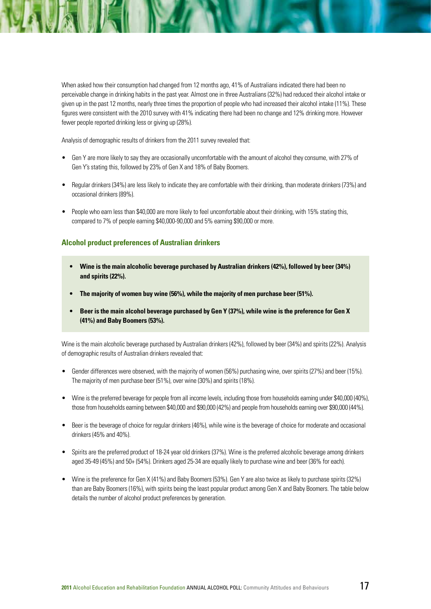When asked how their consumption had changed from 12 months ago, 41% of Australians indicated there had been no perceivable change in drinking habits in the past year. Almost one in three Australians (32%) had reduced their alcohol intake or given up in the past 12 months, nearly three times the proportion of people who had increased their alcohol intake (11%). These figures were consistent with the 2010 survey with 41% indicating there had been no change and 12% drinking more. However fewer people reported drinking less or giving up (28%).

Analysis of demographic results of drinkers from the 2011 survey revealed that:

- Gen Y are more likely to say they are occasionally uncomfortable with the amount of alcohol they consume, with 27% of Gen Y's stating this, followed by 23% of Gen X and 18% of Baby Boomers.
- Regular drinkers (34%) are less likely to indicate they are comfortable with their drinking, than moderate drinkers (73%) and occasional drinkers (89%).
- People who earn less than \$40,000 are more likely to feel uncomfortable about their drinking, with 15% stating this, compared to 7% of people earning \$40,000-90,000 and 5% earning \$90,000 or more.

### **Alcohol product preferences of Australian drinkers**

- **Wine is the main alcoholic beverage purchased by Australian drinkers (42%), followed by beer (34%) and spirits (22%).**
- **The majority of women buy wine (56%), while the majority of men purchase beer (51%).**
- **• Beer is the main alcohol beverage purchased by Gen Y (37%), while wine is the preference for Gen X (41%) and Baby Boomers (53%).**

Wine is the main alcoholic beverage purchased by Australian drinkers (42%), followed by beer (34%) and spirits (22%). Analysis of demographic results of Australian drinkers revealed that:

- Gender differences were observed, with the majority of women (56%) purchasing wine, over spirits (27%) and beer (15%). The majority of men purchase beer (51%), over wine (30%) and spirits (18%).
- Wine is the preferred beverage for people from all income levels, including those from households earning under \$40,000 (40%), those from households earning between \$40,000 and \$90,000 (42%) and people from households earning over \$90,000 (44%).
- Beer is the beverage of choice for regular drinkers (46%), while wine is the beverage of choice for moderate and occasional drinkers (45% and 40%).
- Spirits are the preferred product of 18-24 year old drinkers (37%). Wine is the preferred alcoholic beverage among drinkers aged 35-49 (45%) and 50+ (54%). Drinkers aged 25-34 are equally likely to purchase wine and beer (36% for each).
- Wine is the preference for Gen X (41%) and Baby Boomers (53%). Gen Y are also twice as likely to purchase spirits (32%) than are Baby Boomers (16%), with spirits being the least popular product among Gen X and Baby Boomers. The table below details the number of alcohol product preferences by generation.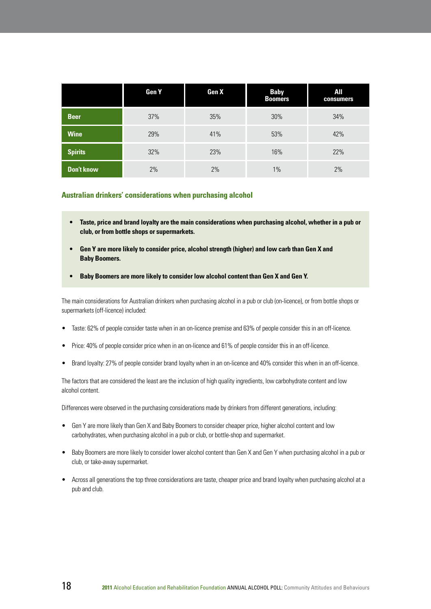|                | <b>GenY</b> | Gen X | <b>Baby</b><br><b>Boomers</b> | All<br><b>consumers</b> |
|----------------|-------------|-------|-------------------------------|-------------------------|
| <b>Beer</b>    | 37%         | 35%   | 30%                           | 34%                     |
| <b>Wine</b>    | 29%         | 41%   | 53%                           | 42%                     |
| <b>Spirits</b> | 32%         | 23%   | 16%                           | 22%                     |
| Don't know     | 2%          | 2%    | 1%                            | 2%                      |

### **Australian drinkers' considerations when purchasing alcohol**

- **Taste, price and brand loyalty are the main considerations when purchasing alcohol, whether in a pub or club, or from bottle shops or supermarkets.**
- **Gen Y are more likely to consider price, alcohol strength (higher) and low carb than Gen X and Baby Boomers.**
- **• Baby Boomers are more likely to consider low alcohol content than Gen X and Gen Y.**

The main considerations for Australian drinkers when purchasing alcohol in a pub or club (on-licence), or from bottle shops or supermarkets (off-licence) included:

- Taste: 62% of people consider taste when in an on-licence premise and 63% of people consider this in an off-licence.
- Price: 40% of people consider price when in an on-licence and 61% of people consider this in an off-licence.
- Brand loyalty: 27% of people consider brand loyalty when in an on-licence and 40% consider this when in an off-licence.

The factors that are considered the least are the inclusion of high quality ingredients, low carbohydrate content and low alcohol content.

Differences were observed in the purchasing considerations made by drinkers from different generations, including:

- Gen Y are more likely than Gen X and Baby Boomers to consider cheaper price, higher alcohol content and low carbohydrates, when purchasing alcohol in a pub or club, or bottle-shop and supermarket.
- Baby Boomers are more likely to consider lower alcohol content than Gen X and Gen Y when purchasing alcohol in a pub or club, or take-away supermarket.
- Across all generations the top three considerations are taste, cheaper price and brand loyalty when purchasing alcohol at a pub and club.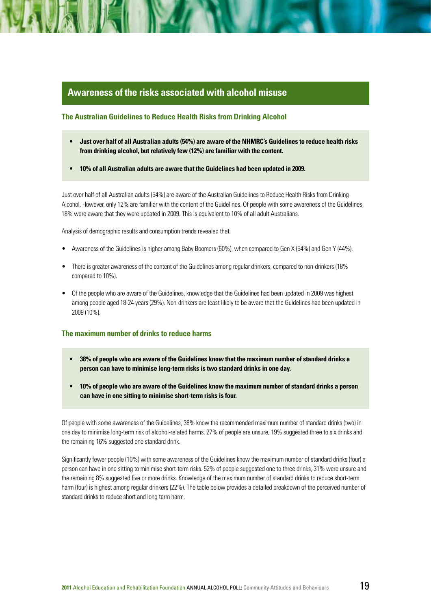### **Awareness of the risks associated with alcohol misuse**

### **The Australian Guidelines to Reduce Health Risks from Drinking Alcohol**

- **• Just over half of all Australian adults (54%) are aware of the NHMRC's Guidelines to reduce health risks from drinking alcohol, but relatively few (12%) are familiar with the content.**
- **• 10% of all Australian adults are aware that the Guidelines had been updated in 2009.**

Just over half of all Australian adults (54%) are aware of the Australian Guidelines to Reduce Health Risks from Drinking Alcohol. However, only 12% are familiar with the content of the Guidelines. Of people with some awareness of the Guidelines, 18% were aware that they were updated in 2009. This is equivalent to 10% of all adult Australians.

Analysis of demographic results and consumption trends revealed that:

- Awareness of the Guidelines is higher among Baby Boomers (60%), when compared to Gen X (54%) and Gen Y (44%).
- There is greater awareness of the content of the Guidelines among regular drinkers, compared to non-drinkers (18% compared to 10%).
- Of the people who are aware of the Guidelines, knowledge that the Guidelines had been updated in 2009 was highest among people aged 18-24 years (29%). Non-drinkers are least likely to be aware that the Guidelines had been updated in 2009 (10%).

### **The maximum number of drinks to reduce harms**

- **• 38% of people who are aware of the Guidelines know that the maximum number of standard drinks a person can have to minimise long-term risks is two standard drinks in one day.**
- **• 10% of people who are aware of the Guidelines know the maximum number of standard drinks a person can have in one sitting to minimise short-term risks is four.**

Of people with some awareness of the Guidelines, 38% know the recommended maximum number of standard drinks (two) in one day to minimise long-term risk of alcohol-related harms. 27% of people are unsure, 19% suggested three to six drinks and the remaining 16% suggested one standard drink.

Significantly fewer people (10%) with some awareness of the Guidelines know the maximum number of standard drinks (four) a person can have in one sitting to minimise short-term risks. 52% of people suggested one to three drinks, 31% were unsure and the remaining 8% suggested five or more drinks. Knowledge of the maximum number of standard drinks to reduce short-term harm (four) is highest among regular drinkers (22%). The table below provides a detailed breakdown of the perceived number of standard drinks to reduce short and long term harm.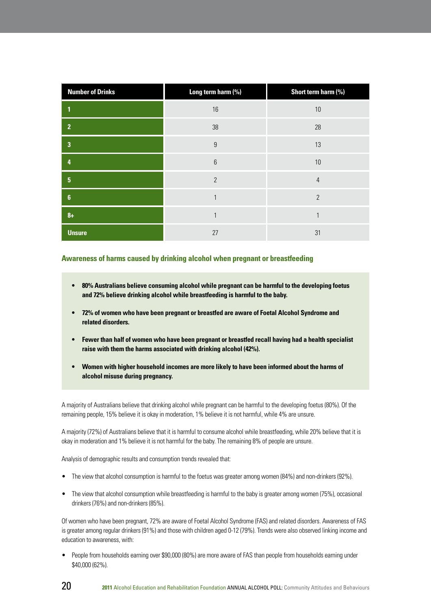| <b>Number of Drinks</b> | Long term harm (%) | Short term harm (%) |
|-------------------------|--------------------|---------------------|
| 1                       | 16                 | 10                  |
| $\overline{2}$          | 38                 | 28                  |
| $\overline{\mathbf{3}}$ | $\overline{9}$     | 13                  |
| 4                       | $6\phantom{1}$     | 10                  |
| $\overline{\mathbf{5}}$ | $\overline{2}$     | 4                   |
| $6\phantom{1}$          |                    | $\overline{2}$      |
| $8+$                    | 1                  |                     |
| <b>Unsure</b>           | 27                 | 31                  |

### **Awareness of harms caused by drinking alcohol when pregnant or breastfeeding**

- **• 80% Australians believe consuming alcohol while pregnant can be harmful to the developing foetus and 72% believe drinking alcohol while breastfeeding is harmful to the baby.**
- **• 72% of women who have been pregnant or breastfed are aware of Foetal Alcohol Syndrome and related disorders.**
- **• Fewer than half of women who have been pregnant or breastfed recall having had a health specialist raise with them the harms associated with drinking alcohol (42%).**
- **Women with higher household incomes are more likely to have been informed about the harms of alcohol misuse during pregnancy.**

A majority of Australians believe that drinking alcohol while pregnant can be harmful to the developing foetus (80%). Of the remaining people, 15% believe it is okay in moderation, 1% believe it is not harmful, while 4% are unsure.

A majority (72%) of Australians believe that it is harmful to consume alcohol while breastfeeding, while 20% believe that it is okay in moderation and 1% believe it is not harmful for the baby. The remaining 8% of people are unsure.

Analysis of demographic results and consumption trends revealed that:

- The view that alcohol consumption is harmful to the foetus was greater among women (84%) and non-drinkers (92%).
- The view that alcohol consumption while breastfeeding is harmful to the baby is greater among women (75%), occasional drinkers (76%) and non-drinkers (85%).

Of women who have been pregnant, 72% are aware of Foetal Alcohol Syndrome (FAS) and related disorders. Awareness of FAS is greater among regular drinkers (91%) and those with children aged 0-12 (79%). Trends were also observed linking income and education to awareness, with:

• People from households earning over \$90,000 (80%) are more aware of FAS than people from households earning under \$40,000 (62%).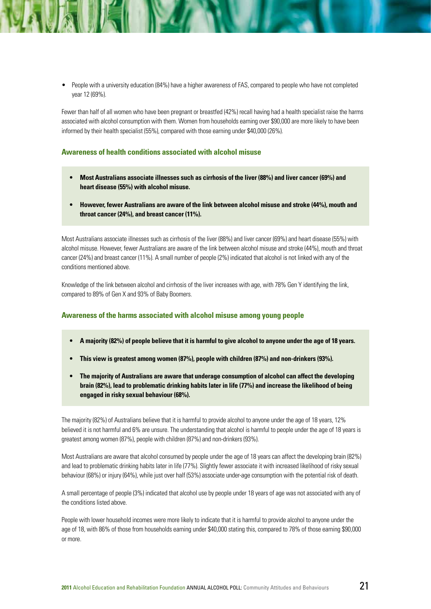• People with a university education (84%) have a higher awareness of FAS, compared to people who have not completed year 12 (69%).

Fewer than half of all women who have been pregnant or breastfed (42%) recall having had a health specialist raise the harms associated with alcohol consumption with them. Women from households earning over \$90,000 are more likely to have been informed by their health specialist (55%), compared with those earning under \$40,000 (26%).

#### **Awareness of health conditions associated with alcohol misuse**

- **• Most Australians associate illnesses such as cirrhosis of the liver (88%) and liver cancer (69%) and heart disease (55%) with alcohol misuse.**
- **However, fewer Australians are aware of the link between alcohol misuse and stroke (44%), mouth and throat cancer (24%), and breast cancer (11%).**

Most Australians associate illnesses such as cirrhosis of the liver (88%) and liver cancer (69%) and heart disease (55%) with alcohol misuse. However, fewer Australians are aware of the link between alcohol misuse and stroke (44%), mouth and throat cancer (24%) and breast cancer (11%). A small number of people (2%) indicated that alcohol is not linked with any of the conditions mentioned above.

Knowledge of the link between alcohol and cirrhosis of the liver increases with age, with 78% Gen Y identifying the link, compared to 89% of Gen X and 93% of Baby Boomers.

#### **Awareness of the harms associated with alcohol misuse among young people**

- **• A majority (82%) of people believe that it is harmful to give alcohol to anyone under the age of 18 years.**
- **This view is greatest among women (87%), people with children (87%) and non-drinkers (93%).**
- **The majority of Australians are aware that underage consumption of alcohol can affect the developing brain (82%), lead to problematic drinking habits later in life (77%) and increase the likelihood of being engaged in risky sexual behaviour (68%).**

The majority (82%) of Australians believe that it is harmful to provide alcohol to anyone under the age of 18 years, 12% believed it is not harmful and 6% are unsure. The understanding that alcohol is harmful to people under the age of 18 years is greatest among women (87%), people with children (87%) and non-drinkers (93%).

Most Australians are aware that alcohol consumed by people under the age of 18 years can affect the developing brain (82%) and lead to problematic drinking habits later in life (77%). Slightly fewer associate it with increased likelihood of risky sexual behaviour (68%) or injury (64%), while just over half (53%) associate under-age consumption with the potential risk of death.

A small percentage of people (3%) indicated that alcohol use by people under 18 years of age was not associated with any of the conditions listed above.

People with lower household incomes were more likely to indicate that it is harmful to provide alcohol to anyone under the age of 18, with 86% of those from households earning under \$40,000 stating this, compared to 78% of those earning \$90,000 or more.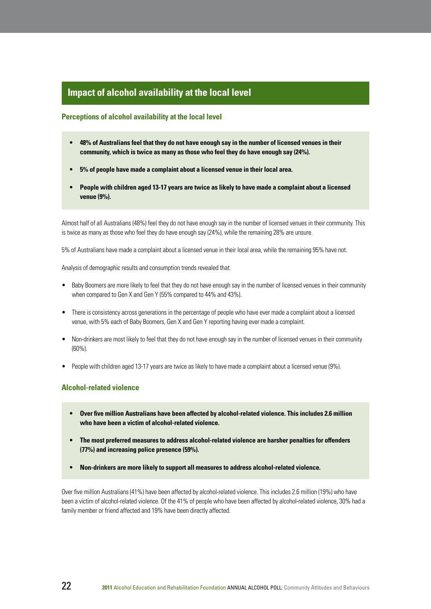### **Impact of alcohol availability at the local level**

### **Perceptions of alcohol availability at the local level**

- **• 48% of Australians feel that they do not have enough say in the number of licensed venues in their community, which is twice as many as those who feel they do have enough say (24%).**
- **• 5% of people have made a complaint about a licensed venue in their local area.**
- **• People with children aged 13-17 years are twice as likely to have made a complaint about a licensed venue (9%).**

Almost half of all Australians (48%) feel they do not have enough say in the number of licensed venues in their community. This is twice as many as those who feel they do have enough say (24%), while the remaining 28% are unsure.

5% of Australians have made a complaint about a licensed venue in their local area, while the remaining 95% have not.

Analysis of demographic results and consumption trends revealed that:

- Baby Boomers are more likely to feel that they do not have enough say in the number of licensed venues in their community when compared to Gen X and Gen Y (55% compared to 44% and 43%).
- There is consistency across generations in the percentage of people who have ever made a complaint about a licensed venue, with 5% each of Baby Boomers, Gen X and Gen Y reporting having ever made a complaint.
- Non-drinkers are most likely to feel that they do not have enough say in the number of licensed venues in their community (60%).
- People with children aged 13-17 years are twice as likely to have made a complaint about a licensed venue (9%).

### **Alcohol-related violence**

- **Over five million Australians have been affected by alcohol-related violence. This includes 2.6 million who have been a victim of alcohol-related violence.**
- **The most preferred measures to address alcohol-related violence are harsher penalties for offenders (77%) and increasing police presence (59%).**
- **Non-drinkers are more likely to support all measures to address alcohol-related violence.**

Over five million Australians (41%) have been affected by alcohol-related violence. This includes 2.6 million (19%) who have been a victim of alcohol-related violence. Of the 41% of people who have been affected by alcohol-related violence, 30% had a family member or friend affected and 19% have been directly affected.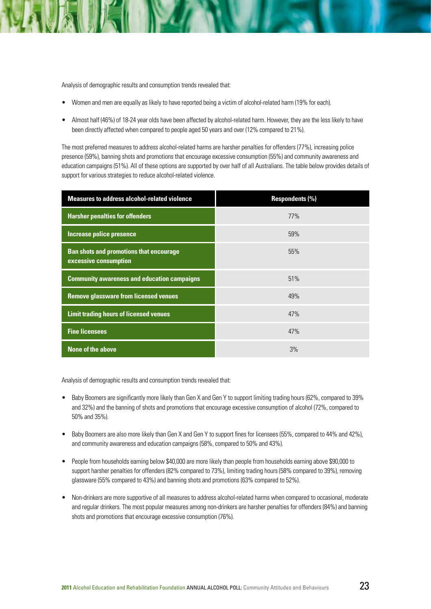Analysis of demographic results and consumption trends revealed that:

- Women and men are equally as likely to have reported being a victim of alcohol-related harm (19% for each).
- Almost half (46%) of 18-24 year olds have been affected by alcohol-related harm. However, they are the less likely to have been directly affected when compared to people aged 50 years and over (12% compared to 21%).

The most preferred measures to address alcohol-related harms are harsher penalties for offenders (77%), increasing police presence (59%), banning shots and promotions that encourage excessive consumption (55%) and community awareness and education campaigns (51%). All of these options are supported by over half of all Australians. The table below provides details of support for various strategies to reduce alcohol-related violence.

| Measures to address alcohol-related violence                            | <b>Respondents (%)</b> |
|-------------------------------------------------------------------------|------------------------|
| <b>Harsher penalties for offenders</b>                                  | 77%                    |
| Increase police presence                                                | 59%                    |
| <b>Ban shots and promotions that encourage</b><br>excessive consumption | 55%                    |
| <b>Community awareness and education campaigns</b>                      | 51%                    |
| <b>Remove glassware from licensed venues</b>                            | 49%                    |
| <b>Limit trading hours of licensed venues</b>                           | 47%                    |
| <b>Fine licensees</b>                                                   | 47%                    |
| <b>None of the above</b>                                                | 3%                     |

Analysis of demographic results and consumption trends revealed that:

- Baby Boomers are significantly more likely than Gen X and Gen Y to support limiting trading hours (62%, compared to 39% and 32%) and the banning of shots and promotions that encourage excessive consumption of alcohol (72%, compared to 50% and 35%).
- Baby Boomers are also more likely than Gen X and Gen Y to support fines for licensees (55%, compared to 44% and 42%), and community awareness and education campaigns (58%, compared to 50% and 43%).
- People from households earning below \$40,000 are more likely than people from households earning above \$90,000 to support harsher penalties for offenders (82% compared to 73%), limiting trading hours (58% compared to 39%), removing glassware (55% compared to 43%) and banning shots and promotions (63% compared to 52%).
- Non-drinkers are more supportive of all measures to address alcohol-related harms when compared to occasional, moderate and regular drinkers. The most popular measures among non-drinkers are harsher penalties for offenders (84%) and banning shots and promotions that encourage excessive consumption (76%).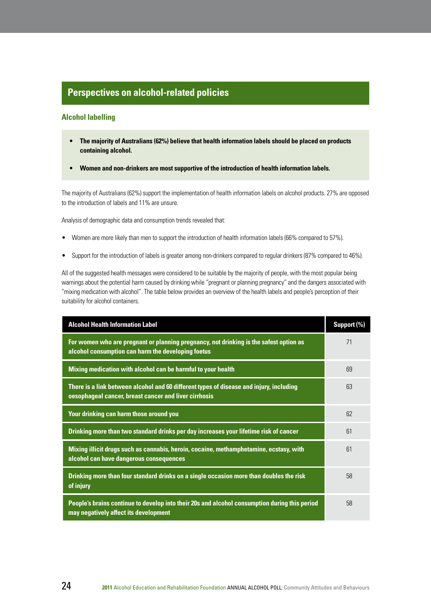# **Perspectives on alcohol-related policies**

### **Alcohol labelling**

- **The majority of Australians (62%) believe that health information labels should be placed on products containing alcohol.**
- **Women and non-drinkers are most supportive of the introduction of health information labels.**

The majority of Australians (62%) support the implementation of health information labels on alcohol products. 27% are opposed to the introduction of labels and 11% are unsure.

Analysis of demographic data and consumption trends revealed that:

- Women are more likely than men to support the introduction of health information labels (66% compared to 57%).
- Support for the introduction of labels is greater among non-drinkers compared to regular drinkers (87% compared to 46%).

All of the suggested health messages were considered to be suitable by the majority of people, with the most popular being warnings about the potential harm caused by drinking while "pregnant or planning pregnancy" and the dangers associated with "mixing medication with alcohol". The table below provides an overview of the health labels and people's perception of their suitability for alcohol containers.

| <b>Alcohol Health Information Label</b>                                                                                                          | Support (%) |
|--------------------------------------------------------------------------------------------------------------------------------------------------|-------------|
| For women who are pregnant or planning pregnancy, not drinking is the safest option as<br>alcohol consumption can harm the developing foetus     | 71          |
| Mixing medication with alcohol can be harmful to your health                                                                                     | 69          |
| There is a link between alcohol and 60 different types of disease and injury, including<br>oesophageal cancer, breast cancer and liver cirrhosis | 63          |
| Your drinking can harm those around you                                                                                                          | 62          |
| Drinking more than two standard drinks per day increases your lifetime risk of cancer                                                            | 61          |
| Mixing illicit drugs such as cannabis, heroin, cocaine, methamphetamine, ecstasy, with<br>alcohol can have dangerous consequences                | 61          |
| Drinking more than four standard drinks on a single occasion more than doubles the risk<br>of injury                                             | 58          |
| People's brains continue to develop into their 20s and alcohol consumption during this period<br>may negatively affect its development           | 58          |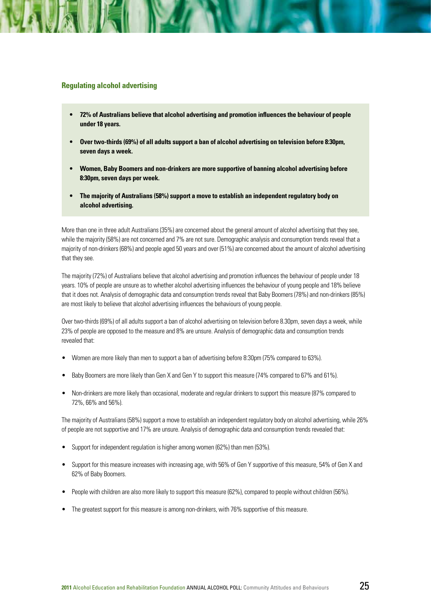### **Regulating alcohol advertising**

- **• 72% of Australians believe that alcohol advertising and promotion influences the behaviour of people under 18 years.**
- **Over two-thirds (69%) of all adults support a ban of alcohol advertising on television before 8:30pm, seven days a week.**
- **Women, Baby Boomers and non-drinkers are more supportive of banning alcohol advertising before 8:30pm, seven days per week.**
- **The majority of Australians (58%) support a move to establish an independent regulatory body on alcohol advertising.**

More than one in three adult Australians (35%) are concerned about the general amount of alcohol advertising that they see, while the majority (58%) are not concerned and 7% are not sure. Demographic analysis and consumption trends reveal that a majority of non-drinkers (68%) and people aged 50 years and over (51%) are concerned about the amount of alcohol advertising that they see.

The majority (72%) of Australians believe that alcohol advertising and promotion influences the behaviour of people under 18 years. 10% of people are unsure as to whether alcohol advertising influences the behaviour of young people and 18% believe that it does not. Analysis of demographic data and consumption trends reveal that Baby Boomers (78%) and non-drinkers (85%) are most likely to believe that alcohol advertising influences the behaviours of young people.

Over two-thirds (69%) of all adults support a ban of alcohol advertising on television before 8.30pm, seven days a week, while 23% of people are opposed to the measure and 8% are unsure. Analysis of demographic data and consumption trends revealed that:

- Women are more likely than men to support a ban of advertising before 8:30pm (75% compared to 63%).
- Baby Boomers are more likely than Gen X and Gen Y to support this measure (74% compared to 67% and 61%).
- Non-drinkers are more likely than occasional, moderate and regular drinkers to support this measure (87% compared to 72%, 66% and 56%).

The majority of Australians (58%) support a move to establish an independent regulatory body on alcohol advertising, while 26% of people are not supportive and 17% are unsure. Analysis of demographic data and consumption trends revealed that:

- Support for independent regulation is higher among women (62%) than men (53%).
- Support for this measure increases with increasing age, with 56% of Gen Y supportive of this measure, 54% of Gen X and 62% of Baby Boomers.
- People with children are also more likely to support this measure (62%), compared to people without children (56%).
- The greatest support for this measure is among non-drinkers, with 76% supportive of this measure.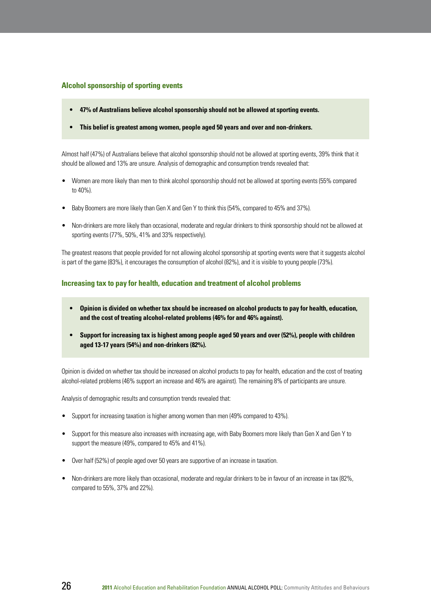### **Alcohol sponsorship of sporting events**

- **• 47% of Australians believe alcohol sponsorship should not be allowed at sporting events.**
- **This belief is greatest among women, people aged 50 years and over and non-drinkers.**

Almost half (47%) of Australians believe that alcohol sponsorship should not be allowed at sporting events, 39% think that it should be allowed and 13% are unsure. Analysis of demographic and consumption trends revealed that:

- Women are more likely than men to think alcohol sponsorship should not be allowed at sporting events (55% compared to 40%).
- Baby Boomers are more likely than Gen X and Gen Y to think this (54%, compared to 45% and 37%).
- Non-drinkers are more likely than occasional, moderate and regular drinkers to think sponsorship should not be allowed at sporting events (77%, 50%, 41% and 33% respectively).

The greatest reasons that people provided for not allowing alcohol sponsorship at sporting events were that it suggests alcohol is part of the game (83%), it encourages the consumption of alcohol (82%), and it is visible to young people (73%).

### **Increasing tax to pay for health, education and treatment of alcohol problems**

- **Opinion is divided on whether tax should be increased on alcohol products to pay for health, education, and the cost of treating alcohol-related problems (46% for and 46% against).**
- **Support for increasing tax is highest among people aged 50 years and over (52%), people with children aged 13-17 years (54%) and non-drinkers (82%).**

Opinion is divided on whether tax should be increased on alcohol products to pay for health, education and the cost of treating alcohol-related problems (46% support an increase and 46% are against). The remaining 8% of participants are unsure.

Analysis of demographic results and consumption trends revealed that:

- Support for increasing taxation is higher among women than men (49% compared to 43%).
- Support for this measure also increases with increasing age, with Baby Boomers more likely than Gen X and Gen Y to support the measure (49%, compared to 45% and 41%).
- Over half (52%) of people aged over 50 years are supportive of an increase in taxation.
- Non-drinkers are more likely than occasional, moderate and regular drinkers to be in favour of an increase in tax (82%, compared to 55%, 37% and 22%).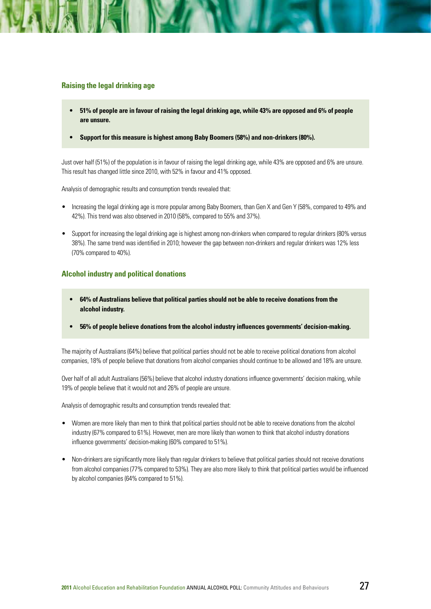### **Raising the legal drinking age**

- **• 51% of people are in favour of raising the legal drinking age, while 43% are opposed and 6% of people are unsure.**
- **Support for this measure is highest among Baby Boomers (58%) and non-drinkers (80%).**

Just over half (51%) of the population is in favour of raising the legal drinking age, while 43% are opposed and 6% are unsure. This result has changed little since 2010, with 52% in favour and 41% opposed.

Analysis of demographic results and consumption trends revealed that:

- Increasing the legal drinking age is more popular among Baby Boomers, than Gen X and Gen Y (58%, compared to 49% and 42%). This trend was also observed in 2010 (58%, compared to 55% and 37%).
- Support for increasing the legal drinking age is highest among non-drinkers when compared to regular drinkers (80% versus 38%). The same trend was identified in 2010; however the gap between non-drinkers and regular drinkers was 12% less (70% compared to 40%).

### **Alcohol industry and political donations**

- **• 64% of Australians believe that political parties should not be able to receive donations from the alcohol industry.**
- **• 56% of people believe donations from the alcohol industry influences governments' decision-making.**

The majority of Australians (64%) believe that political parties should not be able to receive political donations from alcohol companies, 18% of people believe that donations from alcohol companies should continue to be allowed and 18% are unsure.

Over half of all adult Australians (56%) believe that alcohol industry donations influence governments' decision making, while 19% of people believe that it would not and 26% of people are unsure.

Analysis of demographic results and consumption trends revealed that:

- Women are more likely than men to think that political parties should not be able to receive donations from the alcohol industry (67% compared to 61%). However, men are more likely than women to think that alcohol industry donations influence governments' decision-making (60% compared to 51%).
- Non-drinkers are significantly more likely than regular drinkers to believe that political parties should not receive donations from alcohol companies (77% compared to 53%). They are also more likely to think that political parties would be influenced by alcohol companies (64% compared to 51%).